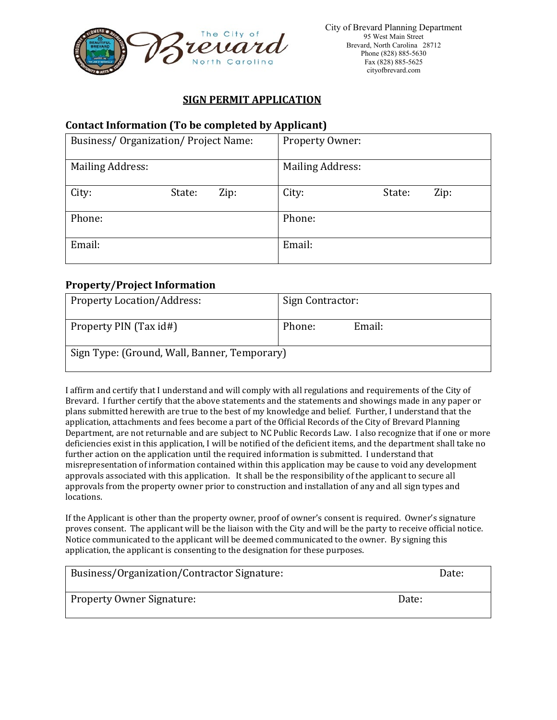

# **SIGN PERMIT APPLICATION**

# **Contact Information (To be completed by Applicant)**

| <b>Business/Organization/Project Name:</b> |        |      | Property Owner:         |        |      |
|--------------------------------------------|--------|------|-------------------------|--------|------|
| <b>Mailing Address:</b>                    |        |      | <b>Mailing Address:</b> |        |      |
| City:                                      | State: | Zip: | City:                   | State: | Zip: |
| Phone:                                     |        |      | Phone:                  |        |      |
| Email:                                     |        |      | Email:                  |        |      |

### **Property/Project Information**

| <b>Property Location/Address:</b>            | Sign Contractor: |  |  |  |
|----------------------------------------------|------------------|--|--|--|
| Property PIN (Tax id#)                       | Email:<br>Phone: |  |  |  |
| Sign Type: (Ground, Wall, Banner, Temporary) |                  |  |  |  |

I affirm and certify that I understand and will comply with all regulations and requirements of the City of Brevard. I further certify that the above statements and the statements and showings made in any paper or plans submitted herewith are true to the best of my knowledge and belief. Further, I understand that the application, attachments and fees become a part of the Official Records of the City of Brevard Planning Department, are not returnable and are subject to NC Public Records Law. I also recognize that if one or more deficiencies exist in this application, I will be notified of the deficient items, and the department shall take no further action on the application until the required information is submitted. I understand that misrepresentation of information contained within this application may be cause to void any development approvals associated with this application. It shall be the responsibility of the applicant to secure all approvals from the property owner prior to construction and installation of any and all sign types and locations.

If the Applicant is other than the property owner, proof of owner's consent is required. Owner's signature proves consent. The applicant will be the liaison with the City and will be the party to receive official notice. Notice communicated to the applicant will be deemed communicated to the owner. By signing this application, the applicant is consenting to the designation for these purposes.

| Business/Organization/Contractor Signature: | Date: |
|---------------------------------------------|-------|
|                                             |       |

Property Owner Signature:  $\Box$  Date:  $\Box$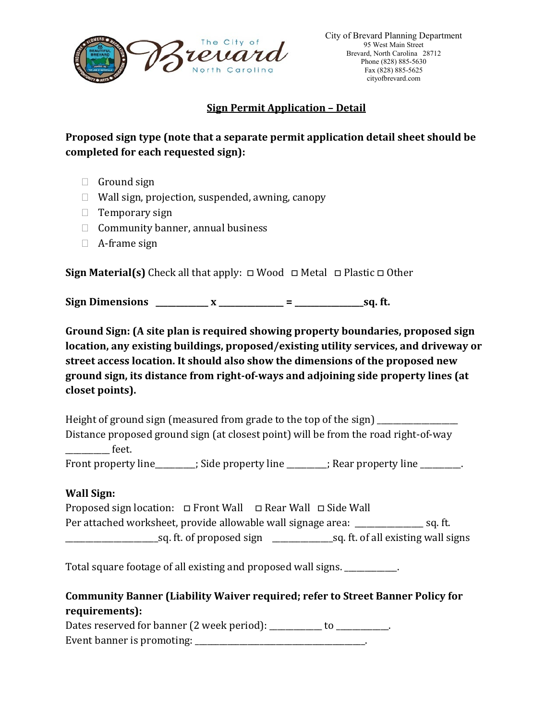

# **Sign Permit Application – Detail**

**Proposed sign type (note that a separate permit application detail sheet should be completed for each requested sign):** 

- $\Box$  Ground sign
- $\Box$  Wall sign, projection, suspended, awning, canopy
- $\Box$  Temporary sign
- $\Box$  Community banner, annual business
- A-frame sign

**Sign Material(s)** Check all that apply: □ Wood □ Metal □ Plastic □ Other

**Sign Dimensions \_\_\_\_\_\_\_\_\_\_\_\_\_ x \_\_\_\_\_\_\_\_\_\_\_\_\_\_\_\_ = \_\_\_\_\_\_\_\_\_\_\_\_\_\_\_\_\_sq. ft.**

**Ground Sign: (A site plan is required showing property boundaries, proposed sign location, any existing buildings, proposed/existing utility services, and driveway or street access location. It should also show the dimensions of the proposed new ground sign, its distance from right-of-ways and adjoining side property lines (at closet points).** 

Height of ground sign (measured from grade to the top of the sign) Distance proposed ground sign (at closest point) will be from the road right-of-way det.

Front property line \_\_\_\_\_\_\_; Side property line \_\_\_\_\_\_\_; Rear property line \_\_\_\_\_\_\_.

# **Wall Sign:**

Proposed sign location: □ Front Wall □ Rear Wall □ Side Wall Per attached worksheet, provide allowable wall signage area: \_\_\_\_\_\_\_\_\_\_\_\_\_\_\_\_\_\_\_\_ sq. ft. \_\_\_\_\_\_\_\_\_\_\_\_\_\_\_\_\_\_\_\_\_\_\_sq. ft. of proposed sign \_\_\_\_\_\_\_\_\_\_\_\_\_\_\_sq. ft. of all existing wall signs

Total square footage of all existing and proposed wall signs. \_\_\_\_\_\_\_\_\_\_\_\_\_.

# **Community Banner (Liability Waiver required; refer to Street Banner Policy for requirements):**

Dates reserved for banner (2 week period): \_\_\_\_\_\_\_\_\_\_ to \_\_\_\_\_\_\_\_\_\_. Event banner is promoting: \_\_\_\_\_\_\_\_\_\_\_\_\_\_\_\_\_\_\_\_\_\_\_\_\_\_\_\_\_\_\_\_\_\_\_\_\_\_\_\_\_\_.